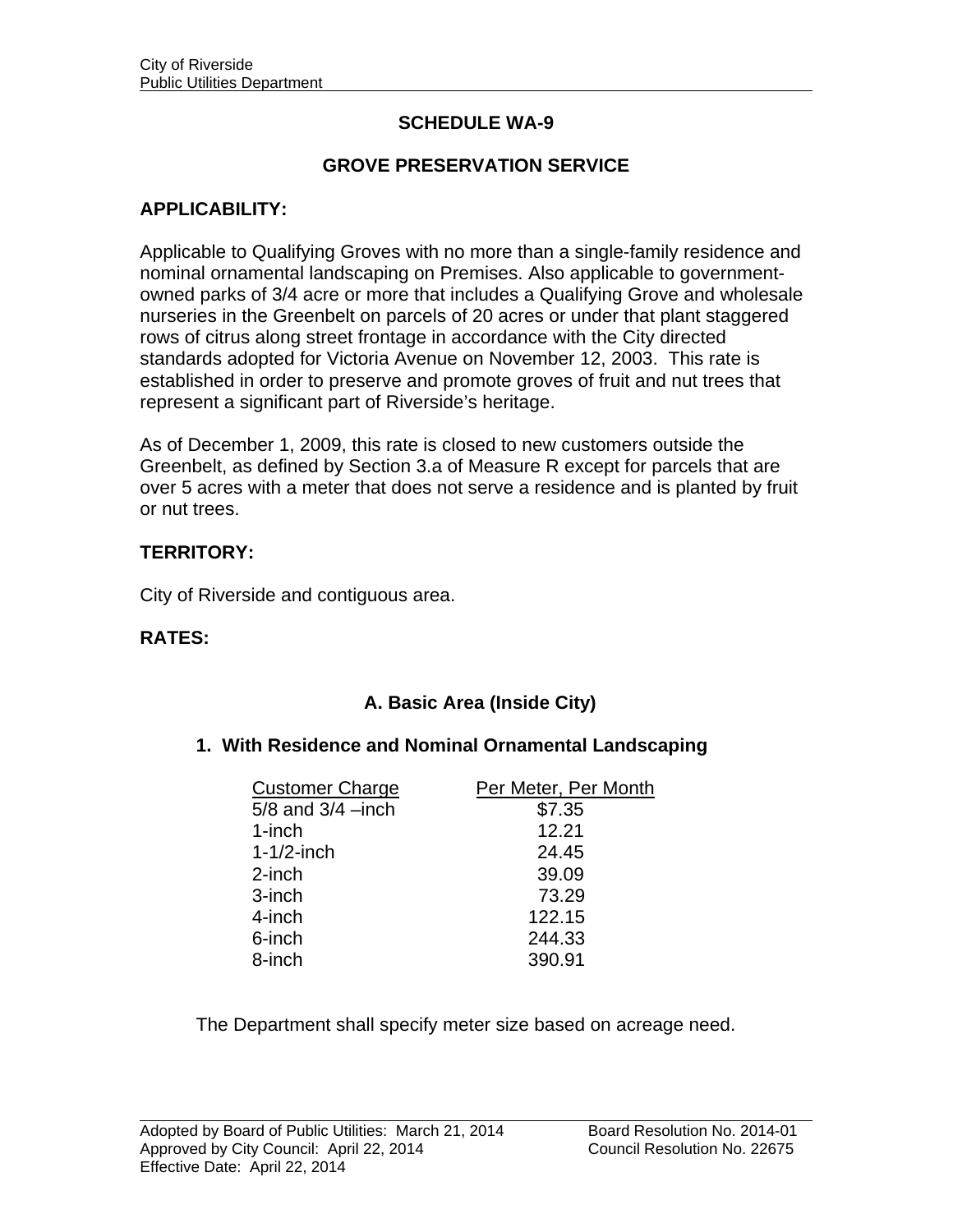# **SCHEDULE WA-9**

## **GROVE PRESERVATION SERVICE**

## **APPLICABILITY:**

Applicable to Qualifying Groves with no more than a single-family residence and nominal ornamental landscaping on Premises. Also applicable to governmentowned parks of 3/4 acre or more that includes a Qualifying Grove and wholesale nurseries in the Greenbelt on parcels of 20 acres or under that plant staggered rows of citrus along street frontage in accordance with the City directed standards adopted for Victoria Avenue on November 12, 2003. This rate is established in order to preserve and promote groves of fruit and nut trees that represent a significant part of Riverside's heritage.

As of December 1, 2009, this rate is closed to new customers outside the Greenbelt, as defined by Section 3.a of Measure R except for parcels that are over 5 acres with a meter that does not serve a residence and is planted by fruit or nut trees.

#### **TERRITORY:**

City of Riverside and contiguous area.

#### **RATES:**

## **A. Basic Area (Inside City)**

#### **1. With Residence and Nominal Ornamental Landscaping**

| <b>Customer Charge</b> | Per Meter, Per Month |
|------------------------|----------------------|
| $5/8$ and $3/4$ -inch  | \$7.35               |
| 1-inch                 | 12.21                |
| $1-1/2$ -inch          | 24.45                |
| 2-inch                 | 39.09                |
| 3-inch                 | 73.29                |
| 4-inch                 | 122.15               |
| 6-inch                 | 244.33               |
| 8-inch                 | 390.91               |

The Department shall specify meter size based on acreage need.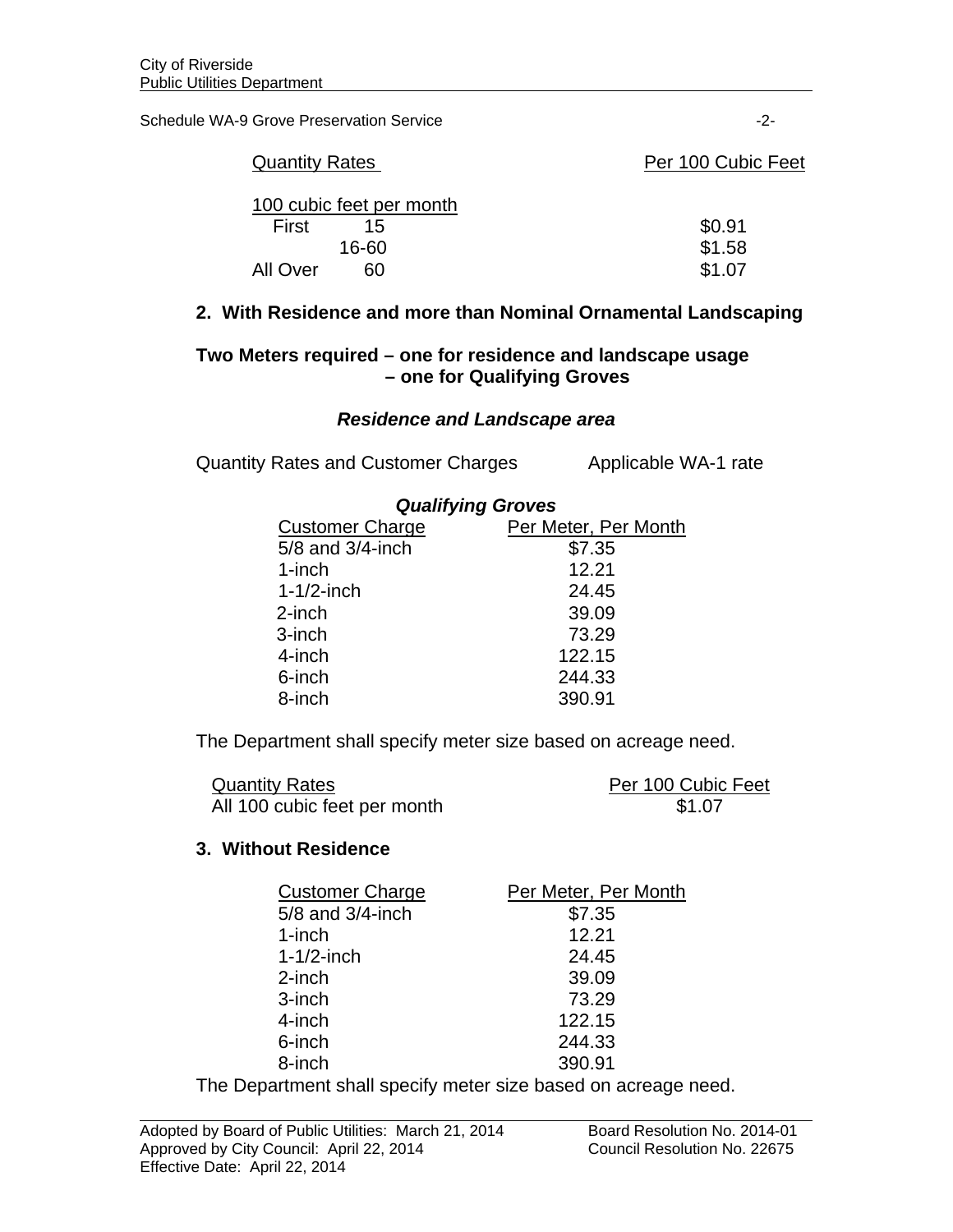Schedule WA-9 Grove Preservation Service -2-

| <b>Quantity Rates</b>    | Per 100 Cubic Feet |
|--------------------------|--------------------|
| 100 cubic feet per month |                    |
| First<br>15              | \$0.91             |
| 16-60                    | \$1.58             |
| 60<br>All Over           | \$1.07             |

### **2. With Residence and more than Nominal Ornamental Landscaping**

## **Two Meters required – one for residence and landscape usage – one for Qualifying Groves**

### *Residence and Landscape area*

Quantity Rates and Customer Charges Applicable WA-1 rate

|                        | <b>Qualifying Groves</b> |  |
|------------------------|--------------------------|--|
| <b>Customer Charge</b> | Per Meter, Per Month     |  |
| 5/8 and 3/4-inch       | \$7.35                   |  |
| 1-inch                 | 12.21                    |  |
| $1 - 1/2$ -inch        | 24.45                    |  |
| $2$ -inch              | 39.09                    |  |
| 3-inch                 | 73.29                    |  |
| 4-inch                 | 122.15                   |  |
| 6-inch                 | 244.33                   |  |
| 8-inch                 | 390.91                   |  |

The Department shall specify meter size based on acreage need.

| <b>Quantity Rates</b>        | Per 100 Cubic Feet |
|------------------------------|--------------------|
| All 100 cubic feet per month | \$1.07             |

#### **3. Without Residence**

| <b>Customer Charge</b> | Per Meter, Per Month |
|------------------------|----------------------|
| 5/8 and 3/4-inch       | \$7.35               |
| $1$ -inch              | 12.21                |
| $1 - 1/2$ -inch        | 24.45                |
| $2$ -inch              | 39.09                |
| 3-inch                 | 73.29                |
| 4-inch                 | 122.15               |
| 6-inch                 | 244.33               |
| 8-inch                 | 390.91               |

The Department shall specify meter size based on acreage need.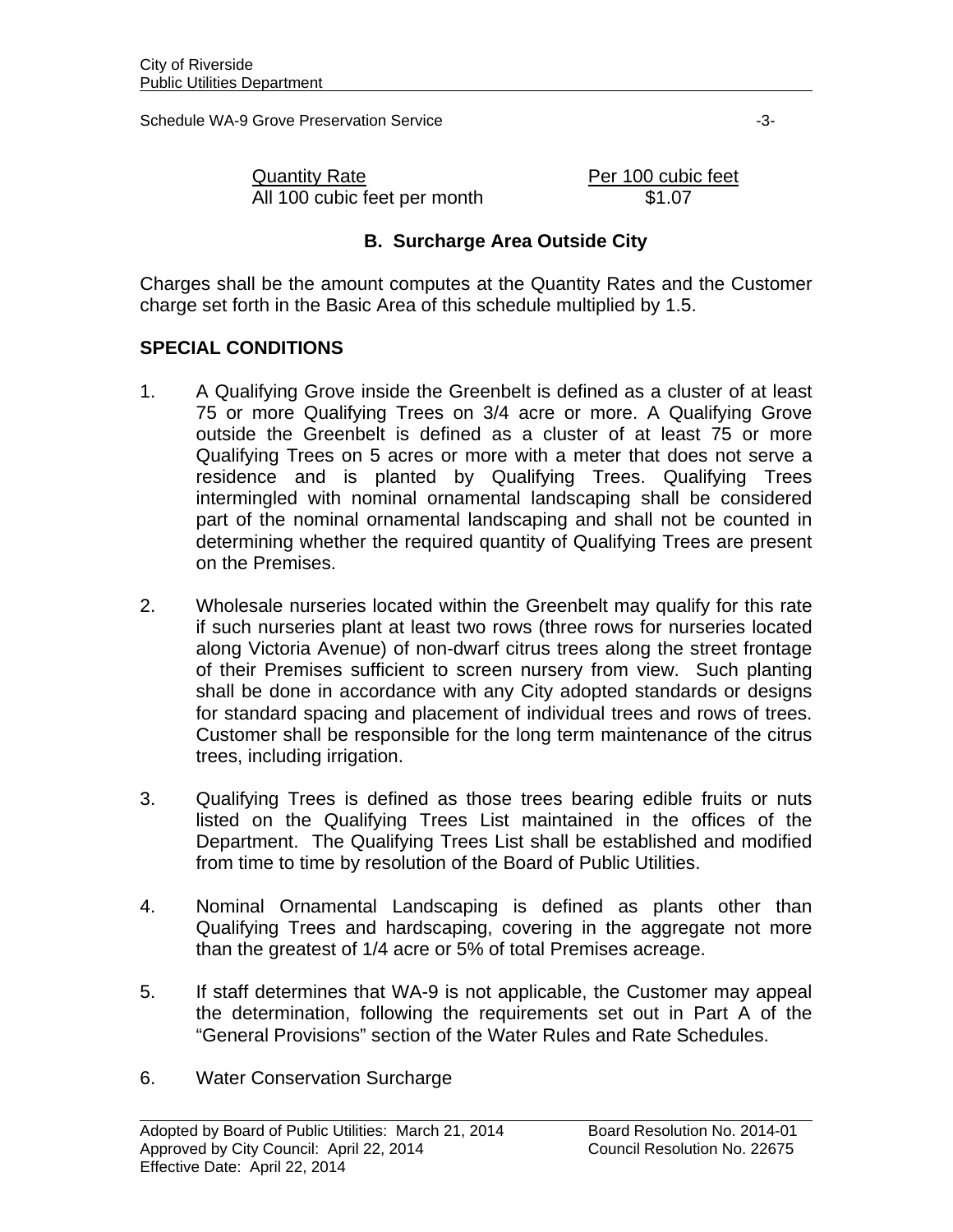Schedule WA-9 Grove Preservation Service  $\sim$  3-3-

Quantity Rate **Per 100 cubic feet** All 100 cubic feet per month \$1.07

## **B. Surcharge Area Outside City**

Charges shall be the amount computes at the Quantity Rates and the Customer charge set forth in the Basic Area of this schedule multiplied by 1.5.

# **SPECIAL CONDITIONS**

- 1. A Qualifying Grove inside the Greenbelt is defined as a cluster of at least 75 or more Qualifying Trees on 3/4 acre or more. A Qualifying Grove outside the Greenbelt is defined as a cluster of at least 75 or more Qualifying Trees on 5 acres or more with a meter that does not serve a residence and is planted by Qualifying Trees. Qualifying Trees intermingled with nominal ornamental landscaping shall be considered part of the nominal ornamental landscaping and shall not be counted in determining whether the required quantity of Qualifying Trees are present on the Premises.
- 2. Wholesale nurseries located within the Greenbelt may qualify for this rate if such nurseries plant at least two rows (three rows for nurseries located along Victoria Avenue) of non-dwarf citrus trees along the street frontage of their Premises sufficient to screen nursery from view. Such planting shall be done in accordance with any City adopted standards or designs for standard spacing and placement of individual trees and rows of trees. Customer shall be responsible for the long term maintenance of the citrus trees, including irrigation.
- 3. Qualifying Trees is defined as those trees bearing edible fruits or nuts listed on the Qualifying Trees List maintained in the offices of the Department. The Qualifying Trees List shall be established and modified from time to time by resolution of the Board of Public Utilities.
- 4. Nominal Ornamental Landscaping is defined as plants other than Qualifying Trees and hardscaping, covering in the aggregate not more than the greatest of 1/4 acre or 5% of total Premises acreage.
- 5. If staff determines that WA-9 is not applicable, the Customer may appeal the determination, following the requirements set out in Part A of the "General Provisions" section of the Water Rules and Rate Schedules.
- 6. Water Conservation Surcharge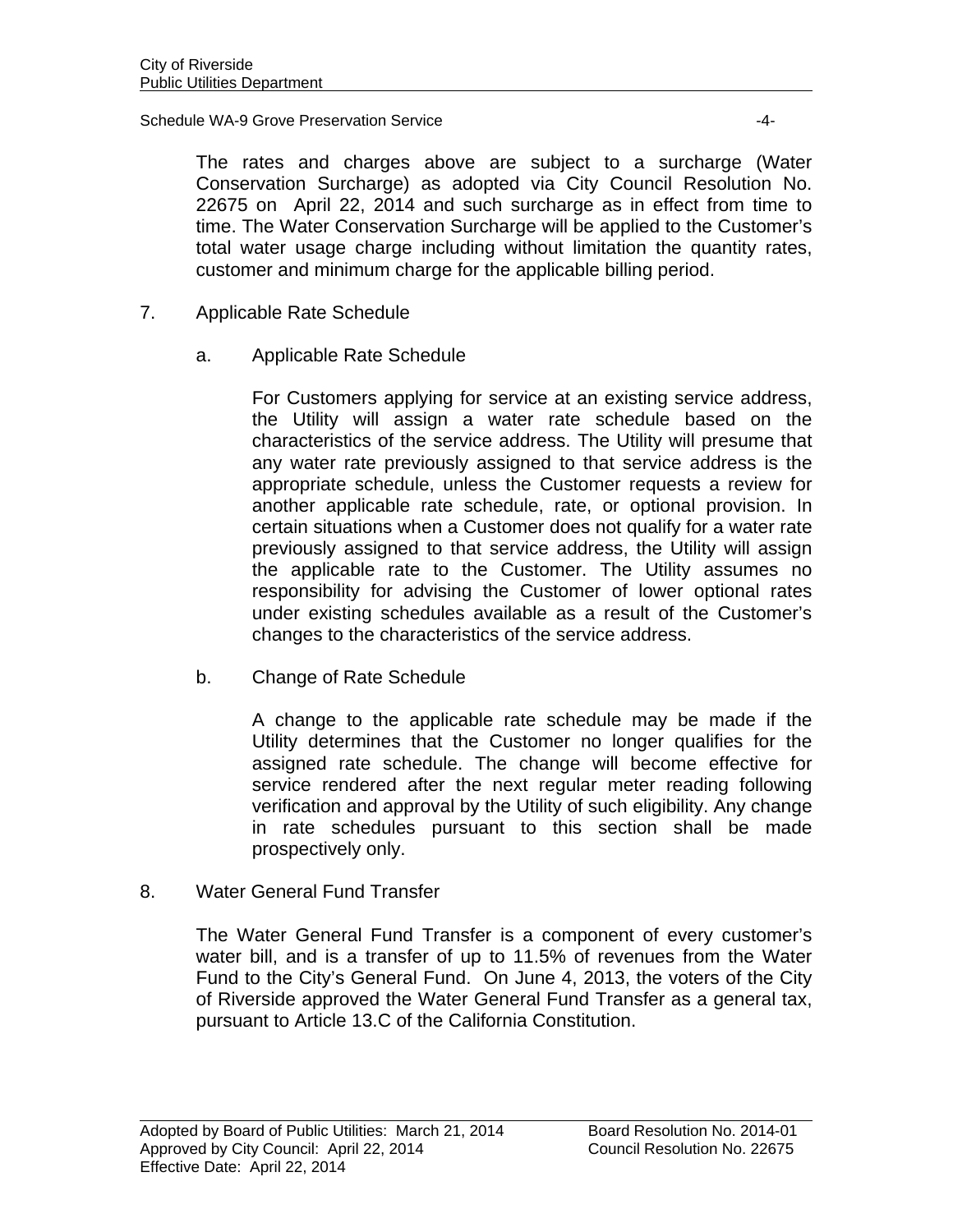#### Schedule WA-9 Grove Preservation Service  $-4$ -

The rates and charges above are subject to a surcharge (Water Conservation Surcharge) as adopted via City Council Resolution No. 22675 on April 22, 2014 and such surcharge as in effect from time to time. The Water Conservation Surcharge will be applied to the Customer's total water usage charge including without limitation the quantity rates, customer and minimum charge for the applicable billing period.

- 7. Applicable Rate Schedule
	- a. Applicable Rate Schedule

For Customers applying for service at an existing service address, the Utility will assign a water rate schedule based on the characteristics of the service address. The Utility will presume that any water rate previously assigned to that service address is the appropriate schedule, unless the Customer requests a review for another applicable rate schedule, rate, or optional provision. In certain situations when a Customer does not qualify for a water rate previously assigned to that service address, the Utility will assign the applicable rate to the Customer. The Utility assumes no responsibility for advising the Customer of lower optional rates under existing schedules available as a result of the Customer's changes to the characteristics of the service address.

b. Change of Rate Schedule

 A change to the applicable rate schedule may be made if the Utility determines that the Customer no longer qualifies for the assigned rate schedule. The change will become effective for service rendered after the next regular meter reading following verification and approval by the Utility of such eligibility. Any change in rate schedules pursuant to this section shall be made prospectively only.

8. Water General Fund Transfer

The Water General Fund Transfer is a component of every customer's water bill, and is a transfer of up to 11.5% of revenues from the Water Fund to the City's General Fund. On June 4, 2013, the voters of the City of Riverside approved the Water General Fund Transfer as a general tax, pursuant to Article 13.C of the California Constitution.